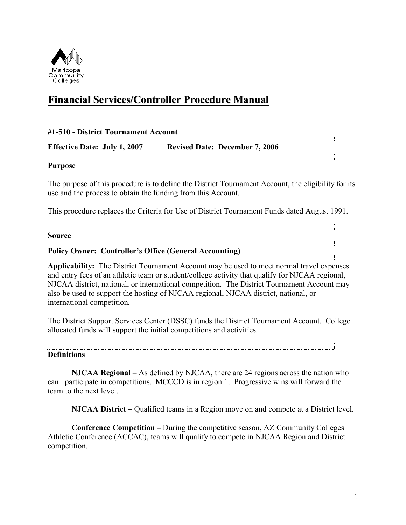

# **Financial Services/Controller Procedure Manual**

| #1-510 - District Tournament Account |  |                                       |  |
|--------------------------------------|--|---------------------------------------|--|
| <b>Effective Date: July 1, 2007</b>  |  | <b>Revised Date: December 7, 2006</b> |  |
|                                      |  |                                       |  |
| <b>Purpose</b>                       |  |                                       |  |

The purpose of this procedure is to define the District Tournament Account, the eligibility for its use and the process to obtain the funding from this Account.

This procedure replaces the Criteria for Use of District Tournament Funds dated August 1991.

**Source**

**Policy Owner: Controller's Office (General Accounting)**

**Applicability:** The District Tournament Account may be used to meet normal travel expenses and entry fees of an athletic team or student/college activity that qualify for NJCAA regional, NJCAA district, national, or international competition. The District Tournament Account may also be used to support the hosting of NJCAA regional, NJCAA district, national, or international competition.

The District Support Services Center (DSSC) funds the District Tournament Account. College allocated funds will support the initial competitions and activities.

**Definitions**

**NJCAA Regional –** As defined by NJCAA, there are 24 regions across the nation who can participate in competitions. MCCCD is in region 1. Progressive wins will forward the team to the next level.

**NJCAA District –** Qualified teams in a Region move on and compete at a District level.

**Conference Competition –** During the competitive season, AZ Community Colleges Athletic Conference (ACCAC), teams will qualify to compete in NJCAA Region and District competition.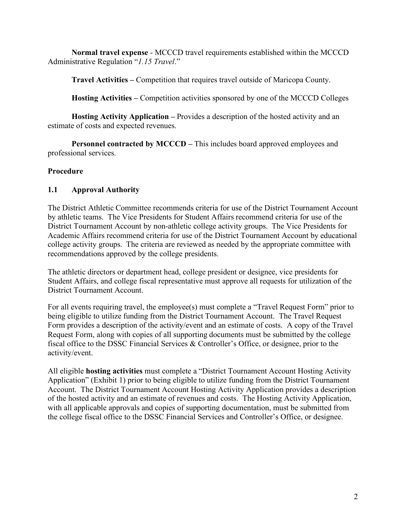**Normal travel expense** - MCCCD travel requirements established within the MCCCD Administrative Regulation "*1.15 Travel*."

**Travel Activities –** Competition that requires travel outside of Maricopa County.

**Hosting Activities –** Competition activities sponsored by one of the MCCCD Colleges

**Hosting Activity Application –** Provides a description of the hosted activity and an estimate of costs and expected revenues.

**Personnel contracted by MCCCD – This includes board approved employees and** professional services.

## **Procedure**

## **1.1 Approval Authority**

The District Athletic Committee recommends criteria for use of the District Tournament Account by athletic teams. The Vice Presidents for Student Affairs recommend criteria for use of the District Tournament Account by non-athletic college activity groups. The Vice Presidents for Academic Affairs recommend criteria for use of the District Tournament Account by educational college activity groups. The criteria are reviewed as needed by the appropriate committee with recommendations approved by the college presidents.

The athletic directors or department head, college president or designee, vice presidents for Student Affairs, and college fiscal representative must approve all requests for utilization of the District Tournament Account.

For all events requiring travel, the employee(s) must complete a "Travel Request Form" prior to being eligible to utilize funding from the District Tournament Account. The Travel Request Form provides a description of the activity/event and an estimate of costs. A copy of the Travel Request Form, along with copies of all supporting documents must be submitted by the college fiscal office to the DSSC Financial Services & Controller's Office, or designee, prior to the activity/event.

All eligible **hosting activities** must complete a "District Tournament Account Hosting Activity Application" (Exhibit 1) prior to being eligible to utilize funding from the District Tournament Account. The District Tournament Account Hosting Activity Application provides a description of the hosted activity and an estimate of revenues and costs. The Hosting Activity Application, with all applicable approvals and copies of supporting documentation, must be submitted from the college fiscal office to the DSSC Financial Services and Controller's Office, or designee.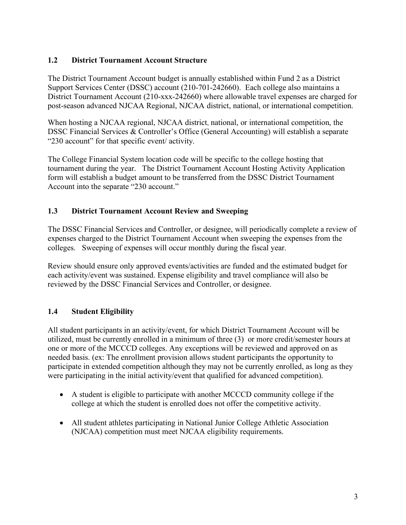#### **1.2 District Tournament Account Structure**

The District Tournament Account budget is annually established within Fund 2 as a District Support Services Center (DSSC) account (210-701-242660). Each college also maintains a District Tournament Account (210-xxx-242660) where allowable travel expenses are charged for post-season advanced NJCAA Regional, NJCAA district, national, or international competition.

When hosting a NJCAA regional, NJCAA district, national, or international competition, the DSSC Financial Services & Controller's Office (General Accounting) will establish a separate "230 account" for that specific event/ activity.

The College Financial System location code will be specific to the college hosting that tournament during the year. The District Tournament Account Hosting Activity Application form will establish a budget amount to be transferred from the DSSC District Tournament Account into the separate "230 account."

## **1.3 District Tournament Account Review and Sweeping**

The DSSC Financial Services and Controller, or designee, will periodically complete a review of expenses charged to the District Tournament Account when sweeping the expenses from the colleges. Sweeping of expenses will occur monthly during the fiscal year.

Review should ensure only approved events/activities are funded and the estimated budget for each activity/event was sustained. Expense eligibility and travel compliance will also be reviewed by the DSSC Financial Services and Controller, or designee.

## **1.4 Student Eligibility**

All student participants in an activity/event, for which District Tournament Account will be utilized, must be currently enrolled in a minimum of three (3) or more credit/semester hours at one or more of the MCCCD colleges. Any exceptions will be reviewed and approved on as needed basis. (ex: The enrollment provision allows student participants the opportunity to participate in extended competition although they may not be currently enrolled, as long as they were participating in the initial activity/event that qualified for advanced competition).

- A student is eligible to participate with another MCCCD community college if the college at which the student is enrolled does not offer the competitive activity.
- All student athletes participating in National Junior College Athletic Association (NJCAA) competition must meet NJCAA eligibility requirements.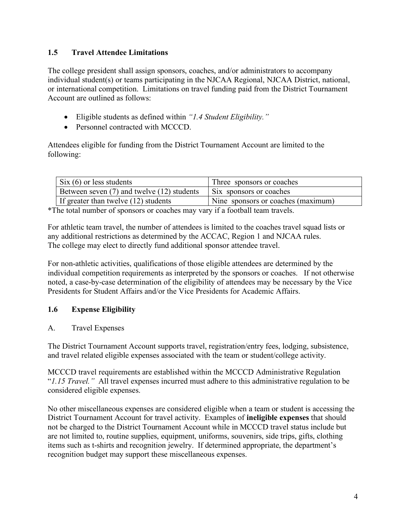#### **1.5 Travel Attendee Limitations**

The college president shall assign sponsors, coaches, and/or administrators to accompany individual student(s) or teams participating in the NJCAA Regional, NJCAA District, national, or international competition. Limitations on travel funding paid from the District Tournament Account are outlined as follows:

- Eligible students as defined within *"1.4 Student Eligibility."*
- Personnel contracted with MCCCD

Attendees eligible for funding from the District Tournament Account are limited to the following:

| $\sin(6)$ or less students                 | Three sponsors or coaches          |  |
|--------------------------------------------|------------------------------------|--|
| Between seven (7) and twelve (12) students | Six sponsors or coaches            |  |
| If greater than twelve (12) students       | Nine sponsors or coaches (maximum) |  |

\*The total number of sponsors or coaches may vary if a football team travels.

For athletic team travel, the number of attendees is limited to the coaches travel squad lists or any additional restrictions as determined by the ACCAC, Region 1 and NJCAA rules. The college may elect to directly fund additional sponsor attendee travel.

For non-athletic activities, qualifications of those eligible attendees are determined by the individual competition requirements as interpreted by the sponsors or coaches. If not otherwise noted, a case-by-case determination of the eligibility of attendees may be necessary by the Vice Presidents for Student Affairs and/or the Vice Presidents for Academic Affairs.

## **1.6 Expense Eligibility**

A. Travel Expenses

The District Tournament Account supports travel, registration/entry fees, lodging, subsistence, and travel related eligible expenses associated with the team or student/college activity.

MCCCD travel requirements are established within the MCCCD Administrative Regulation "*1.15 Travel."* All travel expenses incurred must adhere to this administrative regulation to be considered eligible expenses.

No other miscellaneous expenses are considered eligible when a team or student is accessing the District Tournament Account for travel activity. Examples of **ineligible expenses** that should not be charged to the District Tournament Account while in MCCCD travel status include but are not limited to, routine supplies, equipment, uniforms, souvenirs, side trips, gifts, clothing items such as t-shirts and recognition jewelry. If determined appropriate, the department's recognition budget may support these miscellaneous expenses.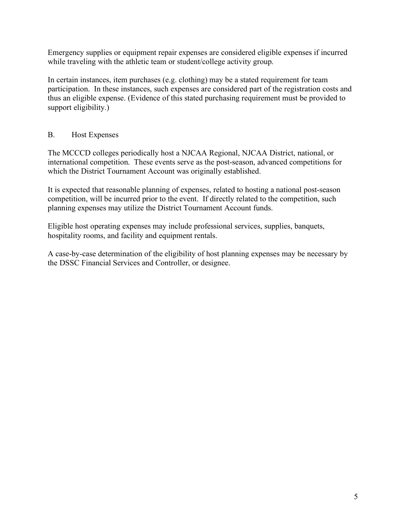Emergency supplies or equipment repair expenses are considered eligible expenses if incurred while traveling with the athletic team or student/college activity group.

In certain instances, item purchases (e.g. clothing) may be a stated requirement for team participation. In these instances, such expenses are considered part of the registration costs and thus an eligible expense. (Evidence of this stated purchasing requirement must be provided to support eligibility.)

## B. Host Expenses

The MCCCD colleges periodically host a NJCAA Regional, NJCAA District, national, or international competition. These events serve as the post-season, advanced competitions for which the District Tournament Account was originally established.

It is expected that reasonable planning of expenses, related to hosting a national post-season competition, will be incurred prior to the event. If directly related to the competition, such planning expenses may utilize the District Tournament Account funds.

Eligible host operating expenses may include professional services, supplies, banquets, hospitality rooms, and facility and equipment rentals.

A case-by-case determination of the eligibility of host planning expenses may be necessary by the DSSC Financial Services and Controller, or designee.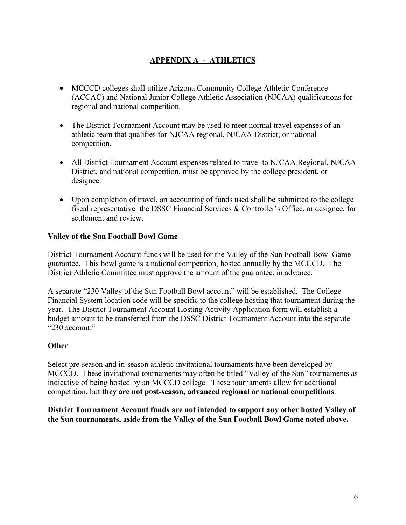## **APPENDIX A - ATHLETICS**

- MCCCD colleges shall utilize Arizona Community College Athletic Conference (ACCAC) and National Junior College Athletic Association (NJCAA) qualifications for regional and national competition.
- The District Tournament Account may be used to meet normal travel expenses of an athletic team that qualifies for NJCAA regional, NJCAA District, or national competition.
- All District Tournament Account expenses related to travel to NJCAA Regional, NJCAA District, and national competition, must be approved by the college president, or designee.
- Upon completion of travel, an accounting of funds used shall be submitted to the college fiscal representative the DSSC Financial Services & Controller's Office, or designee, for settlement and review.

#### **Valley of the Sun Football Bowl Game**

District Tournament Account funds will be used for the Valley of the Sun Football Bowl Game guarantee. This bowl game is a national competition, hosted annually by the MCCCD. The District Athletic Committee must approve the amount of the guarantee, in advance.

A separate "230 Valley of the Sun Football Bowl account" will be established. The College Financial System location code will be specific to the college hosting that tournament during the year. The District Tournament Account Hosting Activity Application form will establish a budget amount to be transferred from the DSSC District Tournament Account into the separate " $230$  account."

#### **Other**

Select pre-season and in-season athletic invitational tournaments have been developed by MCCCD. These invitational tournaments may often be titled "Valley of the Sun" tournaments as indicative of being hosted by an MCCCD college. These tournaments allow for additional competition, but **they are not post-season, advanced regional or national competitions**.

**District Tournament Account funds are not intended to support any other hosted Valley of the Sun tournaments, aside from the Valley of the Sun Football Bowl Game noted above.**